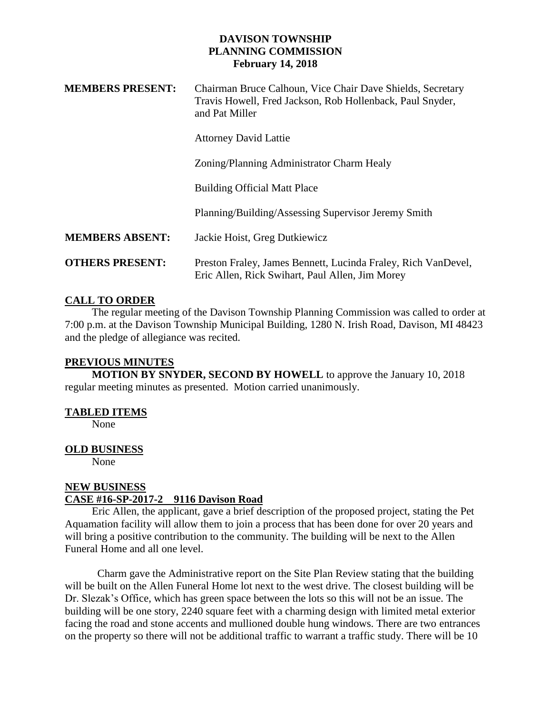## **DAVISON TOWNSHIP PLANNING COMMISSION February 14, 2018**

| <b>MEMBERS PRESENT:</b> | Chairman Bruce Calhoun, Vice Chair Dave Shields, Secretary<br>Travis Howell, Fred Jackson, Rob Hollenback, Paul Snyder,<br>and Pat Miller |
|-------------------------|-------------------------------------------------------------------------------------------------------------------------------------------|
|                         | <b>Attorney David Lattie</b>                                                                                                              |
|                         | Zoning/Planning Administrator Charm Healy                                                                                                 |
|                         | <b>Building Official Matt Place</b>                                                                                                       |
|                         | Planning/Building/Assessing Supervisor Jeremy Smith                                                                                       |
| <b>MEMBERS ABSENT:</b>  | Jackie Hoist, Greg Dutkiewicz                                                                                                             |
| <b>OTHERS PRESENT:</b>  | Preston Fraley, James Bennett, Lucinda Fraley, Rich VanDevel,<br>Eric Allen, Rick Swihart, Paul Allen, Jim Morey                          |

# **CALL TO ORDER**

 The regular meeting of the Davison Township Planning Commission was called to order at 7:00 p.m. at the Davison Township Municipal Building, 1280 N. Irish Road, Davison, MI 48423 and the pledge of allegiance was recited.

#### **PREVIOUS MINUTES**

 **MOTION BY SNYDER, SECOND BY HOWELL** to approve the January 10, 2018 regular meeting minutes as presented. Motion carried unanimously.

### **TABLED ITEMS**

None

### **OLD BUSINESS**

None

## **NEW BUSINESS CASE #16-SP-2017-2 9116 Davison Road**

 Eric Allen, the applicant, gave a brief description of the proposed project, stating the Pet Aquamation facility will allow them to join a process that has been done for over 20 years and will bring a positive contribution to the community. The building will be next to the Allen Funeral Home and all one level.

Charm gave the Administrative report on the Site Plan Review stating that the building will be built on the Allen Funeral Home lot next to the west drive. The closest building will be Dr. Slezak's Office, which has green space between the lots so this will not be an issue. The building will be one story, 2240 square feet with a charming design with limited metal exterior facing the road and stone accents and mullioned double hung windows. There are two entrances on the property so there will not be additional traffic to warrant a traffic study. There will be 10